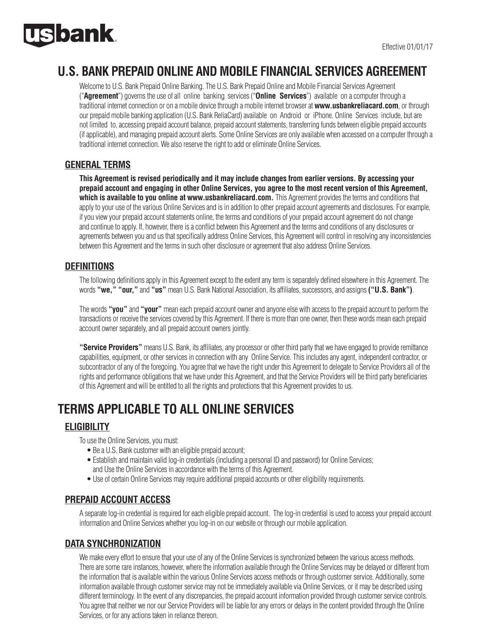

## **U.S. BANK PREPAID ONLINE AND MOBILE FINANCIAL SERVICES AGREEMENT**

Welcome to U.S. Bank Prepaid Online Banking. The U.S. Bank Prepaid Online and Mobile Financial Services Agreement ("**Agreement**") governs the use of all online banking services ("**Online Services**") available on a computer through a traditional internet connection or on a mobile device through a mobile internet browser at **www.usbankreliacard.com**, or through our prepaid mobile banking application (U.S. Bank ReliaCard) available on Android or iPhone. Online Services include, but are not limited to, accessing prepaid account balance, prepaid account statements, transferring funds between eligible prepaid accounts (if applicable), and managing prepaid account alerts. Some Online Services are only available when accessed on a computer through a traditional internet connection. We also reserve the right to add or eliminate Online Services.

## **GENERAL TERMS**

**This Agreement is revised periodically and it may include changes from earlier versions. By accessing your prepaid account and engaging in other Online Services, you agree to the most recent version of this Agreement, which is available to you online at www.usbankreliacard.com.** This Agreement provides the terms and conditions that apply to your use of the various Online Services and is in addition to other prepaid account agreements and disclosures. For example, if you view your prepaid account statements online, the terms and conditions of your prepaid account agreement do not change and continue to apply. If, however, there is a conflict between this Agreement and the terms and conditions of any disclosures or agreements between you and us that specifically address Online Services, this Agreement will control in resolving any inconsistencies between this Agreement and the terms in such other disclosure or agreement that also address Online Services.

## **DEFINITIONS**

The following definitions apply in this Agreement except to the extent any term is separately defined elsewhere in this Agreement. The words **"we," "our,"** and **"us"** mean U.S. Bank National Association, its affiliates, successors, and assigns **("U.S. Bank")**.

The words **"you"** and **"your"** mean each prepaid account owner and anyone else with access to the prepaid account to perform the transactions or receive the services covered by this Agreement. If there is more than one owner, then these words mean each prepaid account owner separately, and all prepaid account owners jointly.

**"Service Providers"** means U.S. Bank, its affiliates, any processor or other third party that we have engaged to provide remittance capabilities, equipment, or other services in connection with any Online Service. This includes any agent, independent contractor, or subcontractor of any of the foregoing. You agree that we have the right under this Agreement to delegate to Service Providers all of the rights and performance obligations that we have under this Agreement, and that the Service Providers will be third party beneficiaries of this Agreement and will be entitled to all the rights and protections that this Agreement provides to us.

# **TERMS APPLICABLE TO ALL ONLINE SERVICES**

## **ELIGIBILITY**

To use the Online Services, you must:

- Be a U.S. Bank customer with an eligible prepaid account;
- Establish and maintain valid log-in credentials (including a personal ID and password) for Online Services; and Use the Online Services in accordance with the terms of this Agreement.
- Use of certain Online Services may require additional prepaid accounts or other eligibility requirements.

### **PREPAID ACCOUNT ACCESS**

A separate log-in credential is required for each eligible prepaid account. The log-in credential is used to access your prepaid account information and Online Services whether you log-in on our website or through our mobile application.

## **DATA SYNCHRONIZATION**

We make every effort to ensure that your use of any of the Online Services is synchronized between the various access methods. There are some rare instances, however, where the information available through the Online Services may be delayed or different from the information that is available within the various Online Services access methods or through customer service. Additionally, some information available through customer service may not be immediately available via Online Services, or it may be described using different terminology. In the event of any discrepancies, the prepaid account information provided through customer service controls. You agree that neither we nor our Service Providers will be liable for any errors or delays in the content provided through the Online Services, or for any actions taken in reliance thereon.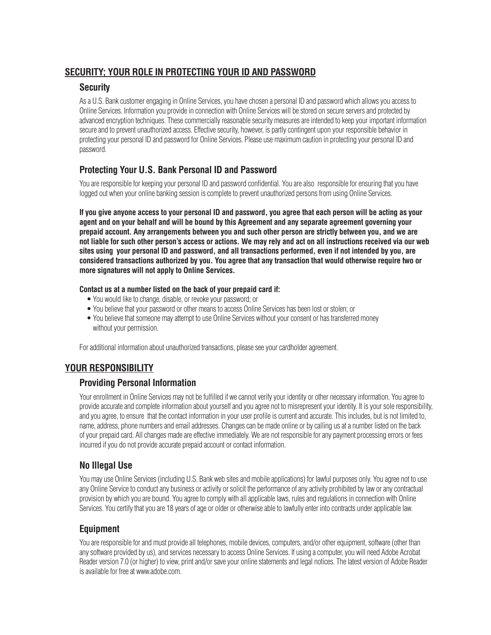## **SECURITY; YOUR ROLE IN PROTECTING YOUR ID AND PASSWORD**

### **Security**

As a U.S. Bank customer engaging in Online Services, you have chosen a personal ID and password which allows you access to Online Services. Information you provide in connection with Online Services will be stored on secure servers and protected by advanced encryption techniques. These commercially reasonable security measures are intended to keep your important information secure and to prevent unauthorized access. Effective security, however, is partly contingent upon your responsible behavior in protecting your personal ID and password for Online Services. Please use maximum caution in protecting your personal ID and password.

## **Protecting Your U.S. Bank Personal ID and Password**

You are responsible for keeping your personal ID and password confidential. You are also responsible for ensuring that you have logged out when your online banking session is complete to prevent unauthorized persons from using Online Services.

**If you give anyone access to your personal ID and password, you agree that each person will be acting as your agent and on your behalf and will be bound by this Agreement and any separate agreement governing your prepaid account. Any arrangements between you and such other person are strictly between you, and we are not liable for such other person's access or actions. We may rely and act on all instructions received via our web sites using your personal ID and password, and all transactions performed, even if not intended by you, are considered transactions authorized by you. You agree that any transaction that would otherwise require two or more signatures will not apply to Online Services.**

#### **Contact us at a number listed on the back of your prepaid card if:**

- You would like to change, disable, or revoke your password; or
- You believe that your password or other means to access Online Services has been lost or stolen; or
- You believe that someone may attempt to use Online Services without your consent or has transferred money without your permission.

For additional information about unauthorized transactions, please see your cardholder agreement.

## **YOUR RESPONSIBILITY**

## **Providing Personal Information**

Your enrollment in Online Services may not be fulfilled if we cannot verify your identity or other necessary information. You agree to provide accurate and complete information about yourself and you agree not to misrepresent your identity. It is your sole responsibility, and you agree, to ensure that the contact information in your user profile is current and accurate. This includes, but is not limited to, name, address, phone numbers and email addresses. Changes can be made online or by calling us at a number listed on the back of your prepaid card. All changes made are effective immediately. We are not responsible for any payment processing errors or fees incurred if you do not provide accurate prepaid account or contact information.

## **No Illegal Use**

You may use Online Services (including U.S. Bank web sites and mobile applications) for lawful purposes only. You agree not to use any Online Service to conduct any business or activity or solicit the performance of any activity prohibited by law or any contractual provision by which you are bound. You agree to comply with all applicable laws, rules and regulations in connection with Online Services. You certify that you are 18 years of age or older or otherwise able to lawfully enter into contracts under applicable law.

## **Equipment**

You are responsible for and must provide all telephones, mobile devices, computers, and/or other equipment, software (other than any software provided by us), and services necessary to access Online Services. If using a computer, you will need Adobe Acrobat Reader version 7.0 (or higher) to view, print and/or save your online statements and legal notices. The latest version of Adobe Reader is available for free at www.adobe.com.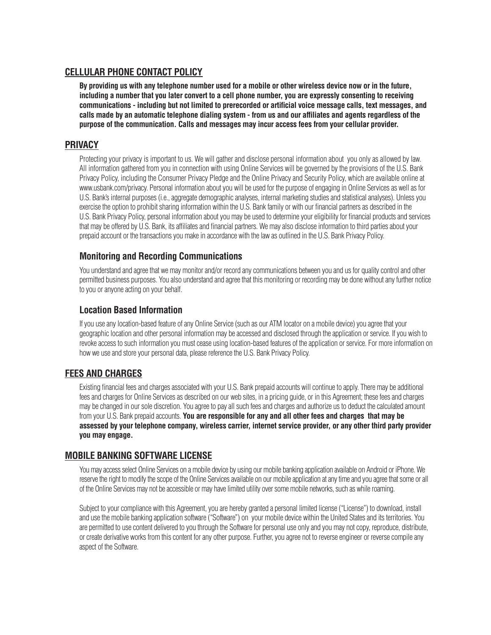#### **CELLULAR PHONE CONTACT POLICY**

**By providing us with any telephone number used for a mobile or other wireless device now or in the future, including a number that you later convert to a cell phone number, you are expressly consenting to receiving communications - including but not limited to prerecorded or artificial voice message calls, text messages, and calls made by an automatic telephone dialing system - from us and our affiliates and agents regardless of the purpose of the communication. Calls and messages may incur access fees from your cellular provider.**

#### **PRIVACY**

Protecting your privacy is important to us. We will gather and disclose personal information about you only as allowed by law. All information gathered from you in connection with using Online Services will be governed by the provisions of the U.S. Bank Privacy Policy, including the Consumer Privacy Pledge and the Online Privacy and Security Policy, which are available online at www.usbank.com/privacy. Personal information about you will be used for the purpose of engaging in Online Services as well as for U.S. Bank's internal purposes (i.e., aggregate demographic analyses, internal marketing studies and statistical analyses). Unless you exercise the option to prohibit sharing information within the U.S. Bank family or with our financial partners as described in the U.S. Bank Privacy Policy, personal information about you may be used to determine your eligibility for financial products and services that may be offered by U.S. Bank, its affiliates and financial partners. We may also disclose information to third parties about your prepaid account or the transactions you make in accordance with the law as outlined in the U.S. Bank Privacy Policy.

### **Monitoring and Recording Communications**

You understand and agree that we may monitor and/or record any communications between you and us for quality control and other permitted business purposes. You also understand and agree that this monitoring or recording may be done without any further notice to you or anyone acting on your behalf.

#### **Location Based Information**

If you use any location-based feature of any Online Service (such as our ATM locator on a mobile device) you agree that your geographic location and other personal information may be accessed and disclosed through the application or service. If you wish to revoke access to such information you must cease using location-based features of the application or service. For more information on how we use and store your personal data, please reference the U.S. Bank Privacy Policy.

### **FEES AND CHARGES**

Existing financial fees and charges associated with your U.S. Bank prepaid accounts will continue to apply. There may be additional fees and charges for Online Services as described on our web sites, in a pricing guide, or in this Agreement; these fees and charges may be changed in our sole discretion. You agree to pay all such fees and charges and authorize us to deduct the calculated amount from your U.S. Bank prepaid accounts. **You are responsible for any and all other fees and charges that may be assessed by your telephone company, wireless carrier, internet service provider, or any other third party provider you may engage.**

#### **MOBILE BANKING SOFTWARE LICENSE**

You may access select Online Services on a mobile device by using our mobile banking application available on Android or iPhone. We reserve the right to modify the scope of the Online Services available on our mobile application at any time and you agree that some or all of the Online Services may not be accessible or may have limited utility over some mobile networks, such as while roaming.

Subject to your compliance with this Agreement, you are hereby granted a personal limited license ("License") to download, install and use the mobile banking application software ("Software") on your mobile device within the United States and its territories. You are permitted to use content delivered to you through the Software for personal use only and you may not copy, reproduce, distribute, or create derivative works from this content for any other purpose. Further, you agree not to reverse engineer or reverse compile any aspect of the Software.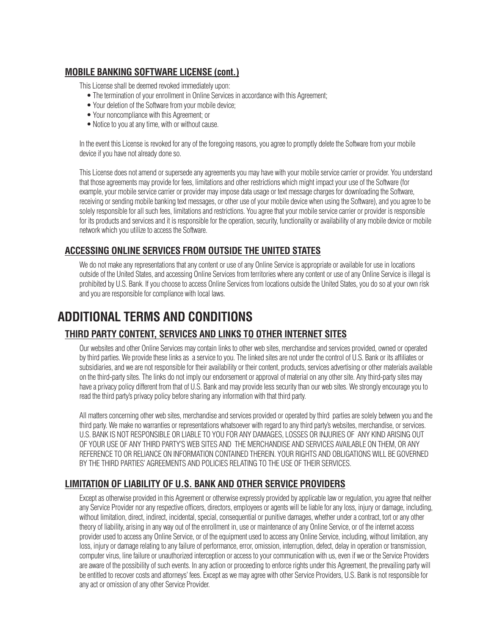## **MOBILE BANKING SOFTWARE LICENSE (cont.)**

This License shall be deemed revoked immediately upon:

- The termination of your enrollment in Online Services in accordance with this Agreement;
- Your deletion of the Software from your mobile device;
- Your noncompliance with this Agreement; or
- Notice to you at any time, with or without cause.

In the event this License is revoked for any of the foregoing reasons, you agree to promptly delete the Software from your mobile device if you have not already done so.

This License does not amend or supersede any agreements you may have with your mobile service carrier or provider. You understand that those agreements may provide for fees, limitations and other restrictions which might impact your use of the Software (for example, your mobile service carrier or provider may impose data usage or text message charges for downloading the Software, receiving or sending mobile banking text messages, or other use of your mobile device when using the Software), and you agree to be solely responsible for all such fees, limitations and restrictions. You agree that your mobile service carrier or provider is responsible for its products and services and it is responsible for the operation, security, functionality or availability of any mobile device or mobile network which you utilize to access the Software.

## **ACCESSING ONLINE SERVICES FROM OUTSIDE THE UNITED STATES**

We do not make any representations that any content or use of any Online Service is appropriate or available for use in locations outside of the United States, and accessing Online Services from territories where any content or use of any Online Service is illegal is prohibited by U.S. Bank. If you choose to access Online Services from locations outside the United States, you do so at your own risk and you are responsible for compliance with local laws.

## **ADDITIONAL TERMS AND CONDITIONS**

## **THIRD PARTY CONTENT, SERVICES AND LINKS TO OTHER INTERNET SITES**

Our websites and other Online Services may contain links to other web sites, merchandise and services provided, owned or operated by third parties. We provide these links as a service to you. The linked sites are not under the control of U.S. Bank or its affiliates or subsidiaries, and we are not responsible for their availability or their content, products, services advertising or other materials available on the third-party sites. The links do not imply our endorsement or approval of material on any other site. Any third-party sites may have a privacy policy different from that of U.S. Bank and may provide less security than our web sites. We strongly encourage you to read the third party's privacy policy before sharing any information with that third party.

All matters concerning other web sites, merchandise and services provided or operated by third parties are solely between you and the third party. We make no warranties or representations whatsoever with regard to any third party's websites, merchandise, or services. U.S. BANK IS NOT RESPONSIBLE OR LIABLE TO YOU FOR ANY DAMAGES, LOSSES OR INJURIES OF ANY KIND ARISING OUT OF YOUR USE OF ANY THIRD PARTY'S WEB SITES AND THE MERCHANDISE AND SERVICES AVAILABLE ON THEM, OR ANY REFERENCE TO OR RELIANCE ON INFORMATION CONTAINED THEREIN. YOUR RIGHTS AND OBLIGATIONS WILL BE GOVERNED BY THE THIRD PARTIES' AGREEMENTS AND POLICIES RELATING TO THE USE OF THEIR SERVICES.

## **LIMITATION OF LIABILITY OF U.S. BANK AND OTHER SERVICE PROVIDERS**

Except as otherwise provided in this Agreement or otherwise expressly provided by applicable law or regulation, you agree that neither any Service Provider nor any respective officers, directors, employees or agents will be liable for any loss, injury or damage, including, without limitation, direct, indirect, incidental, special, consequential or punitive damages, whether under a contract, tort or any other theory of liability, arising in any way out of the enrollment in, use or maintenance of any Online Service, or of the internet access provider used to access any Online Service, or of the equipment used to access any Online Service, including, without limitation, any loss, injury or damage relating to any failure of performance, error, omission, interruption, defect, delay in operation or transmission, computer virus, line failure or unauthorized interception or access to your communication with us, even if we or the Service Providers are aware of the possibility of such events. In any action or proceeding to enforce rights under this Agreement, the prevailing party will be entitled to recover costs and attorneys' fees. Except as we may agree with other Service Providers, U.S. Bank is not responsible for any act or omission of any other Service Provider.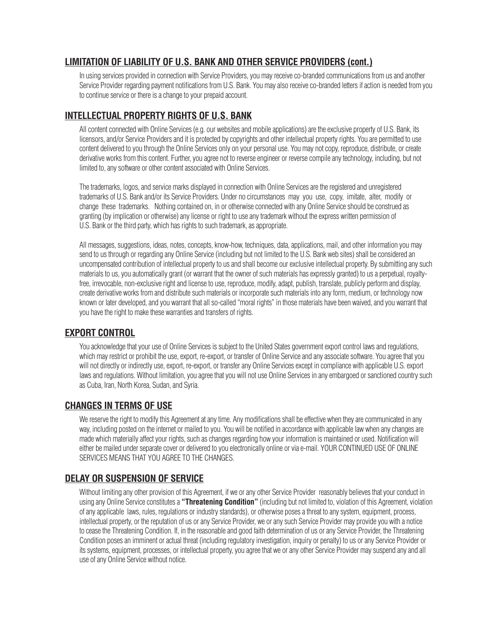## **LIMITATION OF LIABILITY OF U.S. BANK AND OTHER SERVICE PROVIDERS (cont.)**

In using services provided in connection with Service Providers, you may receive co-branded communications from us and another Service Provider regarding payment notifications from U.S. Bank. You may also receive co-branded letters if action is needed from you to continue service or there is a change to your prepaid account.

## **INTELLECTUAL PROPERTY RIGHTS OF U.S. BANK**

All content connected with Online Services (e.g. our websites and mobile applications) are the exclusive property of U.S. Bank, its licensors, and/or Service Providers and it is protected by copyrights and other intellectual property rights. You are permitted to use content delivered to you through the Online Services only on your personal use. You may not copy, reproduce, distribute, or create derivative works from this content. Further, you agree not to reverse engineer or reverse compile any technology, including, but not limited to, any software or other content associated with Online Services.

The trademarks, logos, and service marks displayed in connection with Online Services are the registered and unregistered trademarks of U.S. Bank and/or its Service Providers. Under no circumstances may you use, copy, imitate, alter, modify or change these trademarks. Nothing contained on, in or otherwise connected with any Online Service should be construed as granting (by implication or otherwise) any license or right to use any trademark without the express written permission of U.S. Bank or the third party, which has rights to such trademark, as appropriate.

All messages, suggestions, ideas, notes, concepts, know-how, techniques, data, applications, mail, and other information you may send to us through or regarding any Online Service (including but not limited to the U.S. Bank web sites) shall be considered an uncompensated contribution of intellectual property to us and shall become our exclusive intellectual property. By submitting any such materials to us, you automatically grant (or warrant that the owner of such materials has expressly granted) to us a perpetual, royaltyfree, irrevocable, non-exclusive right and license to use, reproduce, modify, adapt, publish, translate, publicly perform and display, create derivative works from and distribute such materials or incorporate such materials into any form, medium, or technology now known or later developed, and you warrant that all so-called "moral rights" in those materials have been waived, and you warrant that you have the right to make these warranties and transfers of rights.

### **EXPORT CONTROL**

You acknowledge that your use of Online Services is subject to the United States government export control laws and regulations, which may restrict or prohibit the use, export, re-export, or transfer of Online Service and any associate software. You agree that you will not directly or indirectly use, export, re-export, or transfer any Online Services except in compliance with applicable U.S. export laws and regulations. Without limitation, you agree that you will not use Online Services in any embargoed or sanctioned country such as Cuba, Iran, North Korea, Sudan, and Syria.

### **CHANGES IN TERMS OF USE**

We reserve the right to modify this Agreement at any time. Any modifications shall be effective when they are communicated in any way, including posted on the internet or mailed to you. You will be notified in accordance with applicable law when any changes are made which materially affect your rights, such as changes regarding how your information is maintained or used. Notification will either be mailed under separate cover or delivered to you electronically online or via e-mail. YOUR CONTINUED USE OF ONLINE SERVICES MEANS THAT YOU AGREE TO THE CHANGES.

## **DELAY OR SUSPENSION OF SERVICE**

Without limiting any other provision of this Agreement, if we or any other Service Provider reasonably believes that your conduct in using any Online Service constitutes a **"Threatening Condition"** (including but not limited to, violation of this Agreement, violation of any applicable laws, rules, regulations or industry standards), or otherwise poses a threat to any system, equipment, process, intellectual property, or the reputation of us or any Service Provider, we or any such Service Provider may provide you with a notice to cease the Threatening Condition. If, in the reasonable and good faith determination of us or any Service Provider, the Threatening Condition poses an imminent or actual threat (including regulatory investigation, inquiry or penalty) to us or any Service Provider or its systems, equipment, processes, or intellectual property, you agree that we or any other Service Provider may suspend any and all use of any Online Service without notice.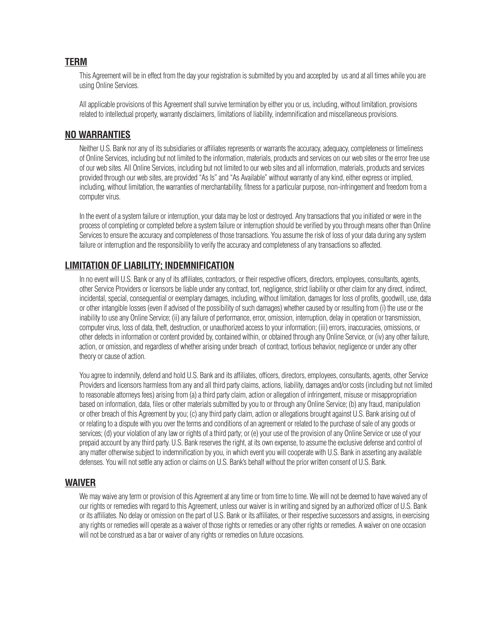#### **TERM**

This Agreement will be in effect from the day your registration is submitted by you and accepted by us and at all times while you are using Online Services.

All applicable provisions of this Agreement shall survive termination by either you or us, including, without limitation, provisions related to intellectual property, warranty disclaimers, limitations of liability, indemnification and miscellaneous provisions.

#### **NO WARRANTIES**

Neither U.S. Bank nor any of its subsidiaries or affiliates represents or warrants the accuracy, adequacy, completeness or timeliness of Online Services, including but not limited to the information, materials, products and services on our web sites or the error free use of our web sites. All Online Services, including but not limited to our web sites and all information, materials, products and services provided through our web sites, are provided "As Is" and "As Available" without warranty of any kind, either express or implied, including, without limitation, the warranties of merchantability, fitness for a particular purpose, non-infringement and freedom from a computer virus.

In the event of a system failure or interruption, your data may be lost or destroyed. Any transactions that you initiated or were in the process of completing or completed before a system failure or interruption should be verified by you through means other than Online Services to ensure the accuracy and completeness of those transactions. You assume the risk of loss of your data during any system failure or interruption and the responsibility to verify the accuracy and completeness of any transactions so affected.

### **LIMITATION OF LIABILITY; INDEMNIFICATION**

In no event will U.S. Bank or any of its affiliates, contractors, or their respective officers, directors, employees, consultants, agents, other Service Providers or licensors be liable under any contract, tort, negligence, strict liability or other claim for any direct, indirect, incidental, special, consequential or exemplary damages, including, without limitation, damages for loss of profits, goodwill, use, data or other intangible losses (even if advised of the possibility of such damages) whether caused by or resulting from (i) the use or the inability to use any Online Service; (ii) any failure of performance, error, omission, interruption, delay in operation or transmission, computer virus, loss of data, theft, destruction, or unauthorized access to your information; (iii) errors, inaccuracies, omissions, or other defects in information or content provided by, contained within, or obtained through any Online Service, or (iv) any other failure, action, or omission, and regardless of whether arising under breach of contract, tortious behavior, negligence or under any other theory or cause of action.

You agree to indemnify, defend and hold U.S. Bank and its affiliates, officers, directors, employees, consultants, agents, other Service Providers and licensors harmless from any and all third party claims, actions, liability, damages and/or costs (including but not limited to reasonable attorneys fees) arising from (a) a third party claim, action or allegation of infringement, misuse or misappropriation based on information, data, files or other materials submitted by you to or through any Online Service; (b) any fraud, manipulation or other breach of this Agreement by you; (c) any third party claim, action or allegations brought against U.S. Bank arising out of or relating to a dispute with you over the terms and conditions of an agreement or related to the purchase of sale of any goods or services; (d) your violation of any law or rights of a third party; or (e) your use of the provision of any Online Service or use of your prepaid account by any third party. U.S. Bank reserves the right, at its own expense, to assume the exclusive defense and control of any matter otherwise subject to indemnification by you, in which event you will cooperate with U.S. Bank in asserting any available defenses. You will not settle any action or claims on U.S. Bank's behalf without the prior written consent of U.S. Bank.

#### **WAIVER**

We may waive any term or provision of this Agreement at any time or from time to time. We will not be deemed to have waived any of our rights or remedies with regard to this Agreement, unless our waiver is in writing and signed by an authorized officer of U.S. Bank or its affiliates. No delay or omission on the part of U.S. Bank or its affiliates, or their respective successors and assigns, in exercising any rights or remedies will operate as a waiver of those rights or remedies or any other rights or remedies. A waiver on one occasion will not be construed as a bar or waiver of any rights or remedies on future occasions.